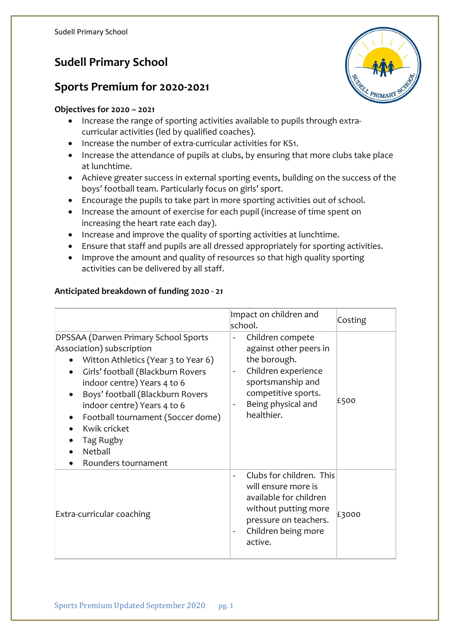# **Sudell Primary School**

### **Sports Premium for 2020-2021**

#### **Objectives for 2020 – 2021**

- Increase the range of sporting activities available to pupils through extracurricular activities (led by qualified coaches).
- Increase the number of extra-curricular activities for KS1.
- Increase the attendance of pupils at clubs, by ensuring that more clubs take place at lunchtime.
- Achieve greater success in external sporting events, building on the success of the boys' football team. Particularly focus on girls' sport.
- Encourage the pupils to take part in more sporting activities out of school.
- Increase the amount of exercise for each pupil (increase of time spent on increasing the heart rate each day).
- Increase and improve the quality of sporting activities at lunchtime.
- Ensure that staff and pupils are all dressed appropriately for sporting activities.
- Improve the amount and quality of resources so that high quality sporting activities can be delivered by all staff.

#### **Anticipated breakdown of funding 2020 - 21**

|                                                                                                                                                                                                                                                                                                                                                     | Impact on children and<br>school.                                                                                                                                                                                             | Costing |
|-----------------------------------------------------------------------------------------------------------------------------------------------------------------------------------------------------------------------------------------------------------------------------------------------------------------------------------------------------|-------------------------------------------------------------------------------------------------------------------------------------------------------------------------------------------------------------------------------|---------|
| DPSSAA (Darwen Primary School Sports<br>Association) subscription<br>Witton Athletics (Year 3 to Year 6)<br>Girls' football (Blackburn Rovers<br>indoor centre) Years 4 to 6<br>Boys' football (Blackburn Rovers<br>indoor centre) Years 4 to 6<br>Football tournament (Soccer dome)<br>Kwik cricket<br>Tag Rugby<br>Netball<br>Rounders tournament | Children compete<br>$\qquad \qquad \blacksquare$<br>against other peers in<br>the borough.<br>Children experience<br>$\overline{\phantom{a}}$<br>sportsmanship and<br>competitive sports.<br>Being physical and<br>healthier. | £500    |
| Extra-curricular coaching                                                                                                                                                                                                                                                                                                                           | Clubs for children. This<br>will ensure more is<br>available for children<br>without putting more<br>pressure on teachers.<br>Children being more<br>$\overline{\phantom{a}}$<br>active.                                      | £3000   |

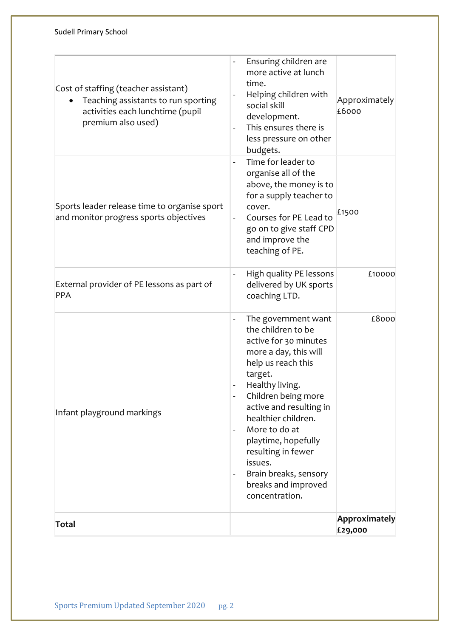| Infant playground markings                                                                                                            | more a day, this will<br>help us reach this<br>target.<br>Healthy living.<br>Children being more<br>active and resulting in<br>healthier children.<br>More to do at<br>$\overline{\phantom{a}}$<br>playtime, hopefully<br>resulting in fewer                |                        |
|---------------------------------------------------------------------------------------------------------------------------------------|-------------------------------------------------------------------------------------------------------------------------------------------------------------------------------------------------------------------------------------------------------------|------------------------|
|                                                                                                                                       | The government want<br>the children to be<br>active for 30 minutes                                                                                                                                                                                          | £8000                  |
| External provider of PE lessons as part of<br>PPA                                                                                     | High quality PE lessons<br>delivered by UK sports<br>coaching LTD.                                                                                                                                                                                          | £10000                 |
| Sports leader release time to organise sport<br>and monitor progress sports objectives                                                | Time for leader to<br>$\overline{\phantom{0}}$<br>organise all of the<br>above, the money is to<br>for a supply teacher to<br>cover.<br>Courses for PE Lead to<br>$\overline{\phantom{a}}$<br>go on to give staff CPD<br>and improve the<br>teaching of PE. | £1500                  |
| Cost of staffing (teacher assistant)<br>Teaching assistants to run sporting<br>activities each lunchtime (pupil<br>premium also used) | Ensuring children are<br>$\overline{\phantom{0}}$<br>more active at lunch<br>time.<br>Helping children with<br>$\qquad \qquad -$<br>social skill<br>development.<br>This ensures there is<br>$\overline{\phantom{a}}$<br>less pressure on other<br>budgets. | Approximately<br>£6000 |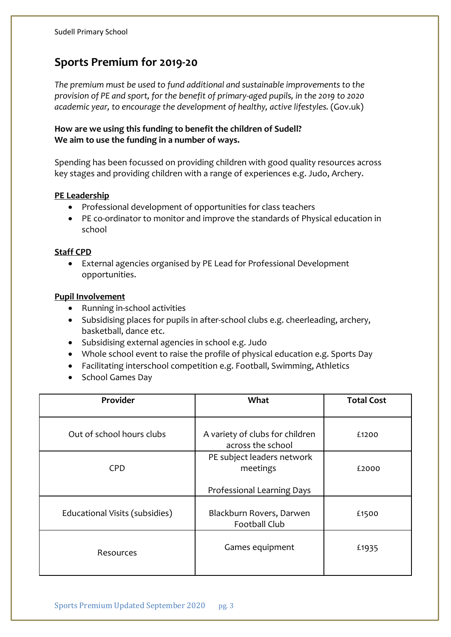## **Sports Premium for 2019-20**

*The premium must be used to fund additional and sustainable improvements to the provision of PE and sport, for the benefit of primary-aged pupils, in the 2019 to 2020 academic year, to encourage the development of healthy, active lifestyles.* (Gov.uk)

#### **How are we using this funding to benefit the children of Sudell? We aim to use the funding in a number of ways.**

Spending has been focussed on providing children with good quality resources across key stages and providing children with a range of experiences e.g. Judo, Archery.

#### **PE Leadership**

- Professional development of opportunities for class teachers
- PE co-ordinator to monitor and improve the standards of Physical education in school

#### **Staff CPD**

• External agencies organised by PE Lead for Professional Development opportunities.

#### **Pupil Involvement**

- Running in-school activities
- Subsidising places for pupils in after-school clubs e.g. cheerleading, archery, basketball, dance etc.
- Subsidising external agencies in school e.g. Judo
- Whole school event to raise the profile of physical education e.g. Sports Day
- Facilitating interschool competition e.g. Football, Swimming, Athletics
- School Games Day

| Provider                       | What                                             | <b>Total Cost</b> |
|--------------------------------|--------------------------------------------------|-------------------|
| Out of school hours clubs      | A variety of clubs for children                  | £1200             |
|                                | across the school                                |                   |
| <b>CPD</b>                     | PE subject leaders network<br>meetings           | £2000             |
|                                | Professional Learning Days                       |                   |
| Educational Visits (subsidies) | Blackburn Rovers, Darwen<br><b>Football Club</b> | £1500             |
| Resources                      | Games equipment                                  | £1935             |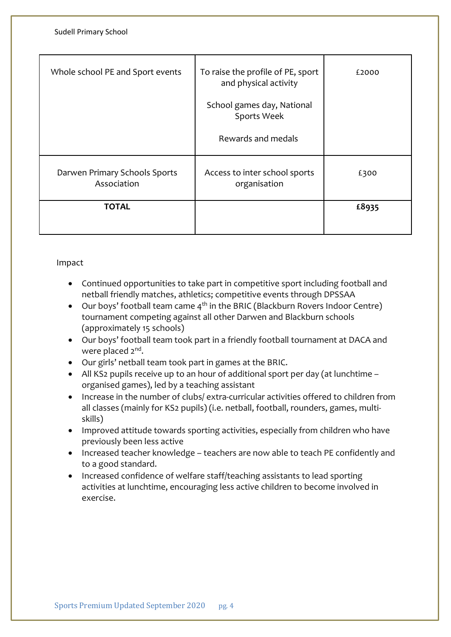| Sudell Primary School                        |                                                                                                                               |       |
|----------------------------------------------|-------------------------------------------------------------------------------------------------------------------------------|-------|
| Whole school PE and Sport events             | To raise the profile of PE, sport<br>and physical activity<br>School games day, National<br>Sports Week<br>Rewards and medals | £2000 |
| Darwen Primary Schools Sports<br>Association | Access to inter school sports<br>organisation                                                                                 | £300  |
| <b>TOTAL</b>                                 |                                                                                                                               | £8935 |

#### Impact

- Continued opportunities to take part in competitive sport including football and netball friendly matches, athletics; competitive events through DPSSAA
- Our boys' football team came  $4<sup>th</sup>$  in the BRIC (Blackburn Rovers Indoor Centre) tournament competing against all other Darwen and Blackburn schools (approximately 15 schools)
- Our boys' football team took part in a friendly football tournament at DACA and were placed 2<sup>nd</sup>.
- Our girls' netball team took part in games at the BRIC.
- All KS2 pupils receive up to an hour of additional sport per day (at lunchtime organised games), led by a teaching assistant
- Increase in the number of clubs/ extra-curricular activities offered to children from all classes (mainly for KS2 pupils) (i.e. netball, football, rounders, games, multiskills)
- Improved attitude towards sporting activities, especially from children who have previously been less active
- Increased teacher knowledge teachers are now able to teach PE confidently and to a good standard.
- Increased confidence of welfare staff/teaching assistants to lead sporting activities at lunchtime, encouraging less active children to become involved in exercise.